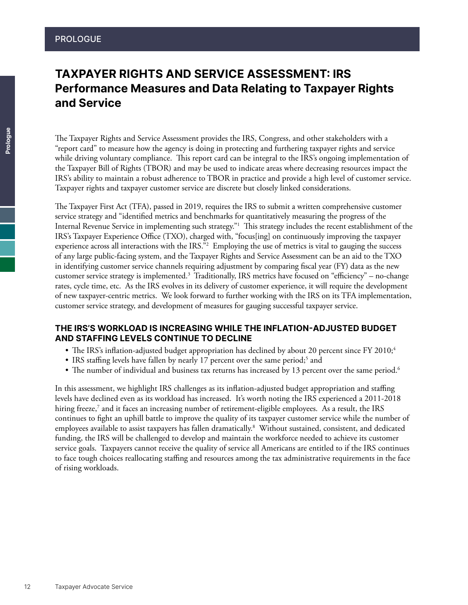# TAXPAYER RIGHTS AND SERVICE ASSESSMENT: IRS Performance Measures and Data Relating to Taxpayer Rights and Service

The Taxpayer Rights and Service Assessment provides the IRS, Congress, and other stakeholders with a "report card" to measure how the agency is doing in protecting and furthering taxpayer rights and service while driving voluntary compliance. This report card can be integral to the IRS's ongoing implementation of the Taxpayer Bill of Rights (TBOR) and may be used to indicate areas where decreasing resources impact the IRS's ability to maintain a robust adherence to TBOR in practice and provide a high level of customer service. Taxpayer rights and taxpayer customer service are discrete but closely linked considerations.

The Taxpayer First Act (TFA), passed in 2019, requires the IRS to submit a written comprehensive customer service strategy and "identified metrics and benchmarks for quantitatively measuring the progress of the Internal Revenue Service in implementing such strategy."1 This strategy includes the recent establishment of the IRS's Taxpayer Experience Office (TXO), charged with, "focus[ing] on continuously improving the taxpayer experience across all interactions with the IRS."2 Employing the use of metrics is vital to gauging the success of any large public-facing system, and the Taxpayer Rights and Service Assessment can be an aid to the TXO in identifying customer service channels requiring adjustment by comparing fiscal year (FY) data as the new customer service strategy is implemented.3 Traditionally, IRS metrics have focused on "efficiency" – no-change rates, cycle time, etc. As the IRS evolves in its delivery of customer experience, it will require the development of new taxpayer-centric metrics. We look forward to further working with the IRS on its TFA implementation, customer service strategy, and development of measures for gauging successful taxpayer service.

### THE IRS'S WORKLOAD IS INCREASING WHILE THE INFLATION-ADJUSTED BUDGET AND STAFFING LEVELS CONTINUE TO DECLINE

- The IRS's inflation-adjusted budget appropriation has declined by about 20 percent since FY 2010;<sup>4</sup>
- IRS staffing levels have fallen by nearly 17 percent over the same period;<sup>5</sup> and
- The number of individual and business tax returns has increased by 13 percent over the same period.<sup>6</sup>

In this assessment, we highlight IRS challenges as its inflation-adjusted budget appropriation and staffing levels have declined even as its workload has increased. It's worth noting the IRS experienced a 2011-2018 hiring freeze,<sup>7</sup> and it faces an increasing number of retirement-eligible employees. As a result, the IRS continues to fight an uphill battle to improve the quality of its taxpayer customer service while the number of employees available to assist taxpayers has fallen dramatically.8 Without sustained, consistent, and dedicated funding, the IRS will be challenged to develop and maintain the workforce needed to achieve its customer service goals. Taxpayers cannot receive the quality of service all Americans are entitled to if the IRS continues to face tough choices reallocating staffing and resources among the tax administrative requirements in the face of rising workloads.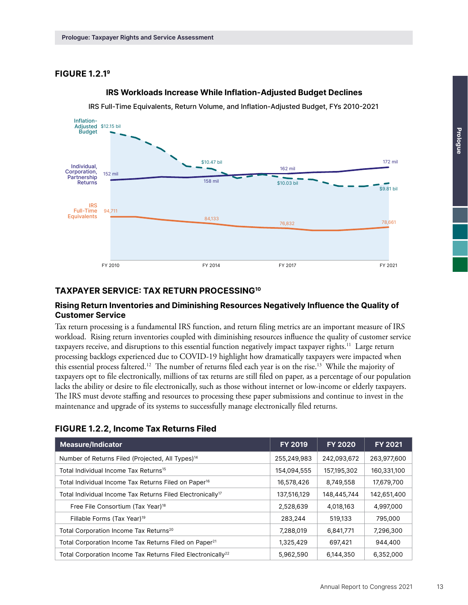# FIGURE 1.2.19



#### **IRS Workloads Increase While Inflation-Adjusted Budget Declines**

IRS Full-Time Equivalents, Return Volume, and Inflation-Adjusted Budget, FYs 2010-2021

### TAXPAYER SERVICE: TAX RETURN PROCESSING10

#### Rising Return Inventories and Diminishing Resources Negatively Influence the Quality of Customer Service

Tax return processing is a fundamental IRS function, and return filing metrics are an important measure of IRS workload. Rising return inventories coupled with diminishing resources influence the quality of customer service taxpayers receive, and disruptions to this essential function negatively impact taxpayer rights.<sup>11</sup> Large return processing backlogs experienced due to COVID-19 highlight how dramatically taxpayers were impacted when this essential process faltered.12 The number of returns filed each year is on the rise.13 While the majority of taxpayers opt to file electronically, millions of tax returns are still filed on paper, as a percentage of our population lacks the ability or desire to file electronically, such as those without internet or low-income or elderly taxpayers. The IRS must devote staffing and resources to processing these paper submissions and continue to invest in the maintenance and upgrade of its systems to successfully manage electronically filed returns.

# FIGURE 1.2.2, Income Tax Returns Filed

| <b>Measure/Indicator</b>                                                | <b>FY 2019</b> | <b>FY 2020</b> | <b>FY 2021</b> |
|-------------------------------------------------------------------------|----------------|----------------|----------------|
| Number of Returns Filed (Projected, All Types) <sup>14</sup>            | 255,249,983    | 242,093,672    | 263,977,600    |
| Total Individual Income Tax Returns <sup>15</sup>                       | 154,094,555    | 157,195,302    | 160,331,100    |
| Total Individual Income Tax Returns Filed on Paper <sup>16</sup>        | 16,578,426     | 8,749,558      | 17,679,700     |
| Total Individual Income Tax Returns Filed Electronically <sup>17</sup>  | 137,516,129    | 148,445,744    | 142,651,400    |
| Free File Consortium (Tax Year) <sup>18</sup>                           | 2,528,639      | 4,018,163      | 4,997,000      |
| Fillable Forms (Tax Year) <sup>19</sup>                                 | 283,244        | 519,133        | 795,000        |
| Total Corporation Income Tax Returns <sup>20</sup>                      | 7,288,019      | 6,841,771      | 7,296,300      |
| Total Corporation Income Tax Returns Filed on Paper <sup>21</sup>       | 1,325,429      | 697,421        | 944,400        |
| Total Corporation Income Tax Returns Filed Electronically <sup>22</sup> | 5,962,590      | 6,144,350      | 6,352,000      |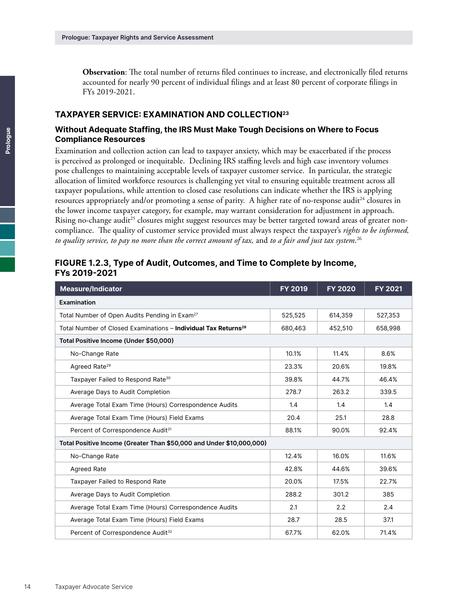**Observation**: The total number of returns filed continues to increase, and electronically filed returns accounted for nearly 90 percent of individual filings and at least 80 percent of corporate filings in FYs 2019-2021.

#### TAXPAYER SERVICE: EXAMINATION AND COLLECTION23

#### Without Adequate Staffing, the IRS Must Make Tough Decisions on Where to Focus Compliance Resources

Examination and collection action can lead to taxpayer anxiety, which may be exacerbated if the process is perceived as prolonged or inequitable. Declining IRS staffing levels and high case inventory volumes pose challenges to maintaining acceptable levels of taxpayer customer service. In particular, the strategic allocation of limited workforce resources is challenging yet vital to ensuring equitable treatment across all taxpayer populations, while attention to closed case resolutions can indicate whether the IRS is applying resources appropriately and/or promoting a sense of parity. A higher rate of no-response audit<sup>24</sup> closures in the lower income taxpayer category, for example, may warrant consideration for adjustment in approach. Rising no-change audit<sup>25</sup> closures might suggest resources may be better targeted toward areas of greater noncompliance. The quality of customer service provided must always respect the taxpayer's *rights to be informed, to quality service, to pay no more than the correct amount of tax,* and *to a fair and just tax system*. 26

#### FIGURE 1.2.3, Type of Audit, Outcomes, and Time to Complete by Income, FYs 2019-2021

| <b>Measure/Indicator</b>                                                   | FY 2019 | <b>FY 2020</b> | <b>FY 2021</b> |
|----------------------------------------------------------------------------|---------|----------------|----------------|
| Examination                                                                |         |                |                |
| Total Number of Open Audits Pending in Exam <sup>27</sup>                  | 525,525 | 614,359        | 527,353        |
| Total Number of Closed Examinations - Individual Tax Returns <sup>28</sup> | 680,463 | 452,510        | 658,998        |
| Total Positive Income (Under \$50,000)                                     |         |                |                |
| No-Change Rate                                                             | 10.1%   | 11.4%          | 8.6%           |
| Agreed Rate <sup>29</sup>                                                  | 23.3%   | 20.6%          | 19.8%          |
| Taxpayer Failed to Respond Rate <sup>30</sup>                              | 39.8%   | 44.7%          | 46.4%          |
| Average Days to Audit Completion                                           | 278.7   | 263.2          | 339.5          |
| Average Total Exam Time (Hours) Correspondence Audits                      | 1.4     | 1.4            | 1.4            |
| Average Total Exam Time (Hours) Field Exams                                | 20.4    | 25.1           | 28.8           |
| Percent of Correspondence Audit <sup>31</sup>                              | 88.1%   | 90.0%          | 92.4%          |
| Total Positive Income (Greater Than \$50,000 and Under \$10,000,000)       |         |                |                |
| No-Change Rate                                                             | 12.4%   | 16.0%          | 11.6%          |
| <b>Agreed Rate</b>                                                         | 42.8%   | 44.6%          | 39.6%          |
| Taxpayer Failed to Respond Rate                                            | 20.0%   | 17.5%          | 22.7%          |
| Average Days to Audit Completion                                           | 288.2   | 301.2          | 385            |
| Average Total Exam Time (Hours) Correspondence Audits                      | 2.1     | 2.2            | 2.4            |
| Average Total Exam Time (Hours) Field Exams                                | 28.7    | 28.5           | 37.1           |
| Percent of Correspondence Audit <sup>32</sup>                              | 67.7%   | 62.0%          | 71.4%          |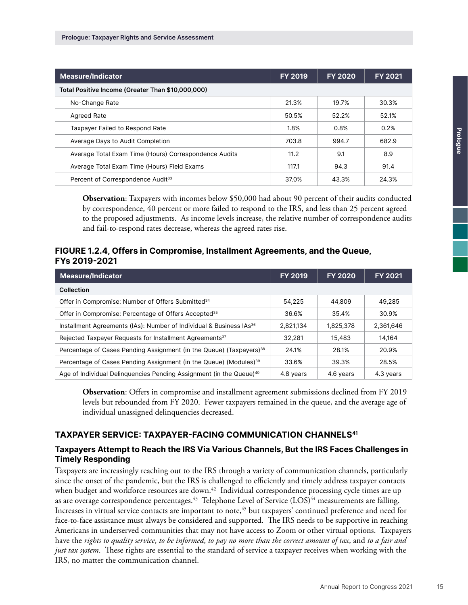| <b>Measure/Indicator</b>                              | <b>FY 2019</b> | <b>FY 2020</b> | <b>FY 2021</b> |
|-------------------------------------------------------|----------------|----------------|----------------|
| Total Positive Income (Greater Than \$10,000,000)     |                |                |                |
| No-Change Rate                                        | 21.3%          | 19.7%          | 30.3%          |
| <b>Agreed Rate</b>                                    | 50.5%          | 52.2%          | 52.1%          |
| Taxpayer Failed to Respond Rate                       | 1.8%           | 0.8%           | 0.2%           |
| Average Days to Audit Completion                      | 703.8          | 994.7          | 682.9          |
| Average Total Exam Time (Hours) Correspondence Audits | 11.2           | 9.1            | 8.9            |
| Average Total Exam Time (Hours) Field Exams           | 117.1          | 94.3           | 91.4           |
| Percent of Correspondence Audit <sup>33</sup>         | 37.0%          | 43.3%          | 24.3%          |

**Observation**: Taxpayers with incomes below \$50,000 had about 90 percent of their audits conducted by correspondence, 40 percent or more failed to respond to the IRS, and less than 25 percent agreed to the proposed adjustments. As income levels increase, the relative number of correspondence audits and fail-to-respond rates decrease, whereas the agreed rates rise.

# FIGURE 1.2.4, Offers in Compromise, Installment Agreements, and the Queue, FYs 2019-2021

| <b>Measure/Indicator</b>                                                        | <b>FY 2019</b> | <b>FY 2020</b> | <b>FY 2021</b> |
|---------------------------------------------------------------------------------|----------------|----------------|----------------|
| Collection                                                                      |                |                |                |
| Offer in Compromise: Number of Offers Submitted <sup>34</sup>                   | 54,225         | 44,809         | 49,285         |
| Offer in Compromise: Percentage of Offers Accepted <sup>35</sup>                | 36.6%          | 35.4%          | 30.9%          |
| Installment Agreements (IAs): Number of Individual & Business IAs <sup>36</sup> | 2,821,134      | 1,825,378      | 2,361,646      |
| Rejected Taxpayer Requests for Installment Agreements <sup>37</sup>             | 32.281         | 15,483         | 14,164         |
| Percentage of Cases Pending Assignment (in the Queue) (Taxpayers) <sup>38</sup> | 24.1%          | 28.1%          | 20.9%          |
| Percentage of Cases Pending Assignment (in the Queue) (Modules) <sup>39</sup>   | 33.6%          | 39.3%          | 28.5%          |
| Age of Individual Delinguencies Pending Assignment (in the Queue) <sup>40</sup> | 4.8 years      | 4.6 years      | 4.3 years      |

**Observation**: Offers in compromise and installment agreement submissions declined from FY 2019 levels but rebounded from FY 2020. Fewer taxpayers remained in the queue, and the average age of individual unassigned delinquencies decreased.

# TAXPAYER SERVICE: TAXPAYER-FACING COMMUNICATION CHANNELS<sup>41</sup>

# Taxpayers Attempt to Reach the IRS Via Various Channels, But the IRS Faces Challenges in Timely Responding

Taxpayers are increasingly reaching out to the IRS through a variety of communication channels, particularly since the onset of the pandemic, but the IRS is challenged to efficiently and timely address taxpayer contacts when budget and workforce resources are down.<sup>42</sup> Individual correspondence processing cycle times are up as are overage correspondence percentages.<sup>43</sup> Telephone Level of Service (LOS)<sup>44</sup> measurements are falling. Increases in virtual service contacts are important to note,<sup>45</sup> but taxpayers' continued preference and need for face-to-face assistance must always be considered and supported. The IRS needs to be supportive in reaching Americans in underserved communities that may not have access to Zoom or other virtual options. Taxpayers have the *rights to quality service*, *to be informed*, *to pay no more than the correct amount of tax*, and *to a fair and just tax system*. These rights are essential to the standard of service a taxpayer receives when working with the IRS, no matter the communication channel.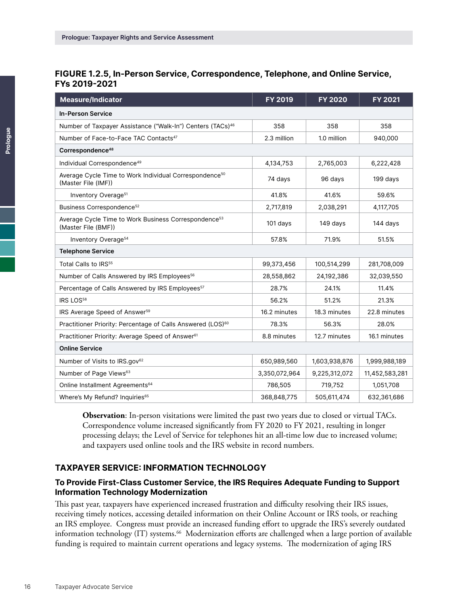# FIGURE 1.2.5, In-Person Service, Correspondence, Telephone, and Online Service, FYs 2019-2021

| <b>Measure/Indicator</b>                                                                  | FY 2019       | <b>FY 2020</b> | FY 2021        |  |
|-------------------------------------------------------------------------------------------|---------------|----------------|----------------|--|
| <b>In-Person Service</b>                                                                  |               |                |                |  |
| Number of Taxpayer Assistance ("Walk-In") Centers (TACs) <sup>46</sup>                    | 358           | 358            | 358            |  |
| Number of Face-to-Face TAC Contacts <sup>47</sup>                                         | 2.3 million   | 1.0 million    | 940,000        |  |
| Correspondence <sup>48</sup>                                                              |               |                |                |  |
| Individual Correspondence <sup>49</sup>                                                   | 4,134,753     | 2,765,003      | 6,222,428      |  |
| Average Cycle Time to Work Individual Correspondence <sup>50</sup><br>(Master File (IMF)) | 74 days       | 96 days        | 199 days       |  |
| Inventory Overage <sup>51</sup>                                                           | 41.8%         | 41.6%          | 59.6%          |  |
| Business Correspondence <sup>52</sup>                                                     | 2,717,819     | 2,038,291      | 4,117,705      |  |
| Average Cycle Time to Work Business Correspondence <sup>53</sup><br>(Master File (BMF))   | 101 days      | 149 days       | 144 days       |  |
| Inventory Overage <sup>54</sup>                                                           | 57.8%         | 71.9%          | 51.5%          |  |
| <b>Telephone Service</b>                                                                  |               |                |                |  |
| Total Calls to IRS <sup>55</sup>                                                          | 99,373,456    | 100,514,299    | 281,708,009    |  |
| Number of Calls Answered by IRS Employees <sup>56</sup>                                   | 28,558,862    | 24,192,386     | 32,039,550     |  |
| Percentage of Calls Answered by IRS Employees <sup>57</sup>                               | 28.7%         | 24.1%          | 11.4%          |  |
| IRS LOS <sup>58</sup>                                                                     | 56.2%         | 51.2%          | 21.3%          |  |
| IRS Average Speed of Answer <sup>59</sup>                                                 | 16.2 minutes  | 18.3 minutes   | 22.8 minutes   |  |
| Practitioner Priority: Percentage of Calls Answered (LOS) <sup>60</sup>                   | 78.3%         | 56.3%          | 28.0%          |  |
| Practitioner Priority: Average Speed of Answer <sup>61</sup>                              | 8.8 minutes   | 12.7 minutes   | 16.1 minutes   |  |
| <b>Online Service</b>                                                                     |               |                |                |  |
| Number of Visits to IRS.gov <sup>62</sup>                                                 | 650,989,560   | 1,603,938,876  | 1,999,988,189  |  |
| Number of Page Views <sup>63</sup>                                                        | 3,350,072,964 | 9,225,312,072  | 11,452,583,281 |  |
| Online Installment Agreements <sup>64</sup>                                               | 786,505       | 719,752        | 1,051,708      |  |
| Where's My Refund? Inquiries <sup>65</sup>                                                | 368,848,775   | 505,611,474    | 632,361,686    |  |

**Observation**: In-person visitations were limited the past two years due to closed or virtual TACs. Correspondence volume increased significantly from FY 2020 to FY 2021, resulting in longer processing delays; the Level of Service for telephones hit an all-time low due to increased volume; and taxpayers used online tools and the IRS website in record numbers.

#### TAXPAYER SERVICE: INFORMATION TECHNOLOGY

#### To Provide First-Class Customer Service, the IRS Requires Adequate Funding to Support Information Technology Modernization

This past year, taxpayers have experienced increased frustration and difficulty resolving their IRS issues, receiving timely notices, accessing detailed information on their Online Account or IRS tools, or reaching an IRS employee. Congress must provide an increased funding effort to upgrade the IRS's severely outdated information technology (IT) systems.<sup>66</sup> Modernization efforts are challenged when a large portion of available funding is required to maintain current operations and legacy systems. The modernization of aging IRS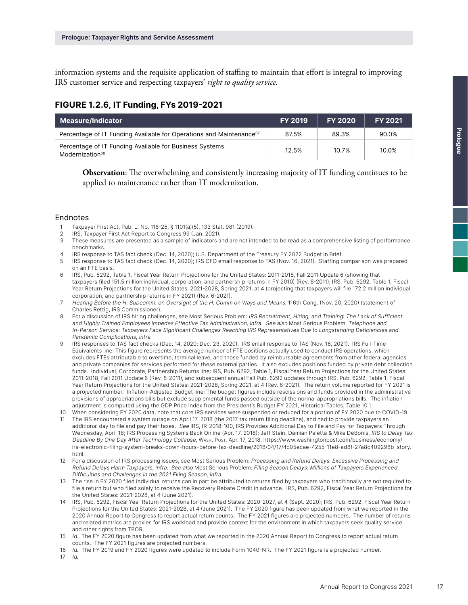information systems and the requisite application of staffing to maintain that effort is integral to improving IRS customer service and respecting taxpayers' *right to quality service*.

# FIGURE 1.2.6, IT Funding, FYs 2019-2021

| Measure/Indicator                                                                      | <b>FY 2019</b> | <b>FY 2020</b> | <b>FY 2021</b> |
|----------------------------------------------------------------------------------------|----------------|----------------|----------------|
| Percentage of IT Funding Available for Operations and Maintenance <sup>67</sup>        | 87.5%          | 89.3%          | 90.0%          |
| Percentage of IT Funding Available for Business Systems<br>Modernization <sup>68</sup> | 12.5%          | 10.7%          | 10.0%          |

**Observation**: The overwhelming and consistently increasing majority of IT funding continues to be applied to maintenance rather than IT modernization.

#### Endnotes

- 2 IRS, Taxpayer First Act Report to Congress 99 (Jan. 2021).
- 3 These measures are presented as a sample of indicators and are not intended to be read as a comprehensive listing of performance benchmarks.
- 4 IRS response to TAS fact check (Dec. 14, 2020); U.S. Department of the Treasury FY 2022 Budget in Brief.
- 5 IRS response to TAS fact check (Dec. 14, 2020); IRS CFO email response to TAS (Nov. 16, 2021). Staffing comparison was prepared on an FTE basis.
- 6 IRS, Pub. 6292, Table 1, Fiscal Year Return Projections for the United States: 2011-2018, Fall 2011 Update 6 (showing that taxpayers filed 151.5 million individual, corporation, and partnership returns in FY 2010) (Rev. 8-2011); IRS, Pub. 6292, Table 1, Fiscal Year Return Projections for the United States: 2021-2028, Spring 2021, at 4 (projecting that taxpayers will file 172.2 million individual, corporation, and partnership returns in FY 2021) (Rev. 6-2021).
- 7 Hearing Before the H. Subcomm. on Oversight of the H. Comm on Ways and Means, 116th Cong. (Nov. 20, 2020) (statement of Charles Rettig, IRS Commissioner).
- 8 For a discussion of IRS hiring challenges, see Most Serious Problem: IRS Recruitment, Hiring, and Training: The Lack of Sufficient and Highly Trained Employees Impedes Effective Tax Administration, infra. See also Most Serious Problem: Telephone and In-Person Service: Taxpayers Face Significant Challenges Reaching IRS Representatives Due to Longstanding Deficiencies and Pandemic Complications, infra.
- 9 IRS responses to TAS fact checks (Dec. 14, 2020; Dec. 23, 2020). IRS email response to TAS (Nov. 16, 2021). IRS Full-Time Equivalents line: This figure represents the average number of FTE positions actually used to conduct IRS operations, which excludes FTEs attributable to overtime, terminal leave, and those funded by reimbursable agreements from other federal agencies and private companies for services performed for these external parties. It also excludes positions funded by private debt collection funds. Individual, Corporate, Partnership Returns line: IRS, Pub. 6292, Table 1, Fiscal Year Return Projections for the United States: 2011-2018, Fall 2011 Update 6 (Rev. 8-2011), and subsequent annual Fall Pub. 6292 updates through IRS, Pub. 6292, Table 1, Fiscal Year Return Projections for the United States: 2021-2028, Spring 2021, at 4 (Rev. 6-2021). The return volume reported for FY 2021 is a projected number. Inflation-Adjusted Budget line: The budget figures include rescissions and funds provided in the administrative provisions of appropriations bills but exclude supplemental funds passed outside of the normal appropriations bills. The inflation adjustment is computed using the GDP Price Index from the President's Budget FY 2021, Historical Tables, Table 10.1.
- 10 When considering FY 2020 data, note that core IRS services were suspended or reduced for a portion of FY 2020 due to COVID-19. 11 The IRS encountered a system outage on April 17, 2018 (the 2017 tax return filing deadline), and had to provide taxpayers an
- additional day to file and pay their taxes. See IRS, IR-2018-100, IRS Provides Additional Day to File and Pay for Taxpayers Through Wednesday, April 18; IRS Processing Systems Back Online (Apr. 17, 2018); Jeff Stein, Damian Paletta & Mike DeBonis, IRS to Delay Tax Deadline By One Day After Technology Collapse, WASH. POST, Apr. 17, 2018, [https://www.washingtonpost.com/business/economy/](https://www.washingtonpost.com/business/economy/irs-electronic-filing-system-breaks-down-hours-before-tax-deadline/2018/04/17/4c05ecae-4255-11e8-ad8f-27a8c409298b_story.html) [irs-electronic-filing-system-breaks-down-hours-before-tax-deadline/2018/04/17/4c05ecae-4255-11e8-ad8f-27a8c409298b\\_story.](https://www.washingtonpost.com/business/economy/irs-electronic-filing-system-breaks-down-hours-before-tax-deadline/2018/04/17/4c05ecae-4255-11e8-ad8f-27a8c409298b_story.html) [html](https://www.washingtonpost.com/business/economy/irs-electronic-filing-system-breaks-down-hours-before-tax-deadline/2018/04/17/4c05ecae-4255-11e8-ad8f-27a8c409298b_story.html).
- 12 For a discussion of IRS processing issues, see Most Serious Problem: Processing and Refund Delays: Excessive Processing and Refund Delays Harm Taxpayers, infra. See also Most Serious Problem: Filing Season Delays: Millions of Taxpayers Experienced Difficulties and Challenges in the 2021 Filing Season, infra.
- 13 The rise in FY 2020 filed individual returns can in part be attributed to returns filed by taxpayers who traditionally are not required to file a return but who filed solely to receive the Recovery Rebate Credit in advance. IRS, Pub. 6292, Fiscal Year Return Projections for the United States: 2021-2028, at 4 (June 2021).
- 14 IRS, Pub. 6292, Fiscal Year Return Projections for the United States: 2020-2027, at 4 (Sept. 2020); IRS, Pub. 6292, Fiscal Year Return Projections for the United States: 2021-2028, at 4 (June 2021). The FY 2020 figure has been updated from what we reported in the 2020 Annual Report to Congress to report actual return counts. The FY 2021 figures are projected numbers. The number of returns and related metrics are proxies for IRS workload and provide context for the environment in which taxpayers seek quality service and other rights from TBOR.
- 15 Id. The FY 2020 figure has been updated from what we reported in the 2020 Annual Report to Congress to report actual return counts. The FY 2021 figures are projected numbers.
- 16 Id. The FY 2019 and FY 2020 figures were updated to include Form 1040-NR. The FY 2021 figure is a projected number.
- 17 Id.

<sup>1</sup>  Taxpayer First Act, Pub. L. No. 116-25, § 1101(a)(5), 133 Stat. 981 (2019).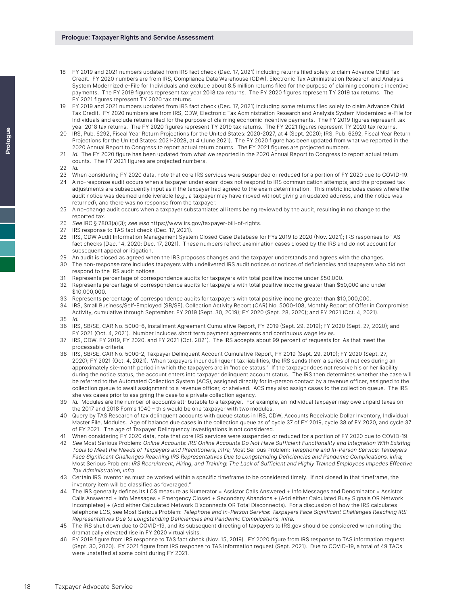- 18 FY 2019 and 2021 numbers updated from IRS fact check (Dec. 17, 2021) including returns filed solely to claim Advance Child Tax Credit. FY 2020 numbers are from IRS, Compliance Data Warehouse (CDW), Electronic Tax Administration Research and Analysis System Modernized e-File for Individuals and exclude about 8.5 million returns filed for the purpose of claiming economic incentive payments. The FY 2019 figures represent tax year 2018 tax returns. The FY 2020 figures represent TY 2019 tax returns. The FY 2021 figures represent TY 2020 tax returns.
- 19 FY 2019 and 2021 numbers updated from IRS fact check (Dec. 17, 2021) including some returns filed solely to claim Advance Child Tax Credit. FY 2020 numbers are from IRS, CDW, Electronic Tax Administration Research and Analysis System Modernized e-File for Individuals and exclude returns filed for the purpose of claiming economic incentive payments. The FY 2019 figures represent tax year 2018 tax returns. The FY 2020 figures represent TY 2019 tax returns. The FY 2021 figures represent TY 2020 tax returns.
- 20 IRS, Pub. 6292, Fiscal Year Return Projections for the United States: 2020-2027, at 4 (Sept. 2020); IRS, Pub. 6292, Fiscal Year Return Projections for the United States: 2021-2028, at 4 (June 2021). The FY 2020 figure has been updated from what we reported in the 2020 Annual Report to Congress to report actual return counts. The FY 2021 figures are projected numbers.
- 21 Id. The FY 2020 figure has been updated from what we reported in the 2020 Annual Report to Congress to report actual return counts. The FY 2021 figures are projected numbers.
- $22$  Id.
- 23 When considering FY 2020 data, note that core IRS services were suspended or reduced for a portion of FY 2020 due to COVID-19.
- 24 A no-response audit occurs when a taxpayer under exam does not respond to IRS communication attempts, and the proposed tax adjustments are subsequently input as if the taxpayer had agreed to the exam determination. This metric includes cases where the audit notice was deemed undeliverable (e.g., a taxpayer may have moved without giving an updated address, and the notice was returned), and there was no response from the taxpayer.
- 25 A no-change audit occurs when a taxpayer substantiates all items being reviewed by the audit, resulting in no change to the reported tax.
- 26 See IRC § 7803(a)(3); see also <https://www.irs.gov/taxpayer-bill-of-rights>.<br>27 IRS response to TAS fact check (Dec. 17 2021)
- IRS response to TAS fact check (Dec. 17, 2021).
- 28 IRS, CDW Audit Information Management System Closed Case Database for FYs 2019 to 2020 (Nov. 2021); IRS responses to TAS fact checks (Dec. 14, 2020; Dec. 17, 2021). These numbers reflect examination cases closed by the IRS and do not account for subsequent appeal or litigation.
- 29 An audit is closed as agreed when the IRS proposes changes and the taxpayer understands and agrees with the changes.
- 30 The non-response rate includes taxpayers with undelivered IRS audit notices or notices of deficiencies and taxpayers who did not respond to the IRS audit notices.
- 31 Represents percentage of correspondence audits for taxpayers with total positive income under \$50,000.
- 32 Represents percentage of correspondence audits for taxpayers with total positive income greater than \$50,000 and under \$10,000,000.
- 33 Represents percentage of correspondence audits for taxpayers with total positive income greater than \$10,000,000.
- 34 IRS, Small Business/Self-Employed (SB/SE), Collection Activity Report (CAR) No. 5000-108, Monthly Report of Offer in Compromise Activity, cumulative through September, FY 2019 (Sept. 30, 2019); FY 2020 (Sept. 28, 2020); and FY 2021 (Oct. 4, 2021).
- 35 Id.
- 36 IRS, SB/SE, CAR No. 5000-6, Installment Agreement Cumulative Report, FY 2019 (Sept. 29, 2019); FY 2020 (Sept. 27, 2020); and FY 2021 (Oct. 4, 2021). Number includes short term payment agreements and continuous wage levies.
- 37 IRS, CDW, FY 2019, FY 2020, and FY 2021 (Oct. 2021). The IRS accepts about 99 percent of requests for IAs that meet the processable criteria.
- 38 IRS, SB/SE, CAR No. 5000-2, Taxpayer Delinquent Account Cumulative Report, FY 2019 (Sept. 29, 2019); FY 2020 (Sept. 27, 2020); FY 2021 (Oct. 4, 2021). When taxpayers incur delinquent tax liabilities, the IRS sends them a series of notices during an approximately six-month period in which the taxpayers are in "notice status." If the taxpayer does not resolve his or her liability during the notice status, the account enters into taxpayer delinquent account status. The IRS then determines whether the case will be referred to the Automated Collection System (ACS), assigned directly for in-person contact by a revenue officer, assigned to the collection queue to await assignment to a revenue officer, or shelved. ACS may also assign cases to the collection queue. The IRS shelves cases prior to assigning the case to a private collection agency.
- 39 Id. Modules are the number of accounts attributable to a taxpayer. For example, an individual taxpayer may owe unpaid taxes on the 2017 and 2018 Forms 1040 – this would be one taxpayer with two modules.
- 40 Query by TAS Research of tax delinquent accounts with queue status in IRS, CDW, Accounts Receivable Dollar Inventory, Individual Master File, Modules. Age of balance due cases in the collection queue as of cycle 37 of FY 2019, cycle 38 of FY 2020, and cycle 37 of FY 2021. The age of Taxpayer Delinquency Investigations is not considered.
- 41 When considering FY 2020 data, note that core IRS services were suspended or reduced for a portion of FY 2020 due to COVID-19.
- 42 See Most Serious Problem: Online Accounts: IRS Online Accounts Do Not Have Sufficient Functionality and Integration With Existing Tools to Meet the Needs of Taxpayers and Practitioners, infra; Most Serious Problem: Telephone and In-Person Service: Taxpayers Face Significant Challenges Reaching IRS Representatives Due to Longstanding Deficiencies and Pandemic Complications, infra; Most Serious Problem: IRS Recruitment, Hiring, and Training: The Lack of Sufficient and Highly Trained Employees Impedes Effective Tax Administration, infra.
- 43 Certain IRS inventories must be worked within a specific timeframe to be considered timely. If not closed in that timeframe, the inventory item will be classified as "overaged."
- 44 The IRS generally defines its LOS measure as Numerator = Assistor Calls Answered + Info Messages and Denominator = Assistor Calls Answered + Info Messages + Emergency Closed + Secondary Abandons + (Add either Calculated Busy Signals OR Network Incompletes) + (Add either Calculated Network Disconnects OR Total Disconnects). For a discussion of how the IRS calculates telephone LOS, see Most Serious Problem: Telephone and In-Person Service: Taxpayers Face Significant Challenges Reaching IRS Representatives Due to Longstanding Deficiencies and Pandemic Complications, infra.
- 45 The IRS shut down due to COVID-19, and its subsequent directing of taxpayers to IRS.gov should be considered when noting the dramatically elevated rise in FY 2020 virtual visits.
- 46 FY 2019 figure from IRS response to TAS fact check (Nov. 15, 2019). FY 2020 figure from IRS response to TAS information request (Sept. 30, 2020). FY 2021 figure from IRS response to TAS information request (Sept. 2021). Due to COVID-19, a total of 49 TACs were unstaffed at some point during FY 2021.